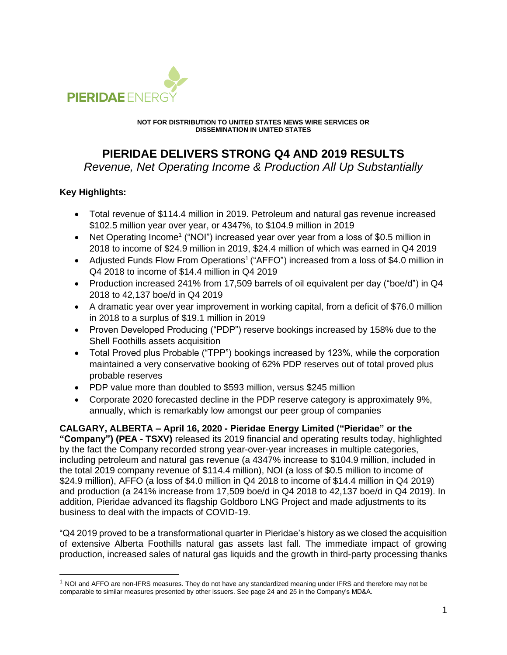

**NOT FOR DISTRIBUTION TO UNITED STATES NEWS WIRE SERVICES OR DISSEMINATION IN UNITED STATES**

# **PIERIDAE DELIVERS STRONG Q4 AND 2019 RESULTS**

*Revenue, Net Operating Income & Production All Up Substantially*

# **Key Highlights:**

- Total revenue of \$114.4 million in 2019. Petroleum and natural gas revenue increased \$102.5 million year over year, or 4347%, to \$104.9 million in 2019
- Net Operating Income<sup>1</sup> ("NOI") increased year over year from a loss of \$0.5 million in 2018 to income of \$24.9 million in 2019, \$24.4 million of which was earned in Q4 2019
- Adjusted Funds Flow From Operations<sup>1</sup> ("AFFO") increased from a loss of \$4.0 million in Q4 2018 to income of \$14.4 million in Q4 2019
- Production increased 241% from 17,509 barrels of oil equivalent per day ("boe/d") in Q4 2018 to 42,137 boe/d in Q4 2019
- A dramatic year over year improvement in working capital, from a deficit of \$76.0 million in 2018 to a surplus of \$19.1 million in 2019
- Proven Developed Producing ("PDP") reserve bookings increased by 158% due to the Shell Foothills assets acquisition
- Total Proved plus Probable ("TPP") bookings increased by 123%, while the corporation maintained a very conservative booking of 62% PDP reserves out of total proved plus probable reserves
- PDP value more than doubled to \$593 million, versus \$245 million
- Corporate 2020 forecasted decline in the PDP reserve category is approximately 9%, annually, which is remarkably low amongst our peer group of companies

**CALGARY, ALBERTA – April 16, 2020 - Pieridae Energy Limited ("Pieridae" or the "Company") (PEA - TSXV)** released its 2019 financial and operating results today, highlighted by the fact the Company recorded strong year-over-year increases in multiple categories, including petroleum and natural gas revenue (a 4347% increase to \$104.9 million, included in the total 2019 company revenue of \$114.4 million), NOI (a loss of \$0.5 million to income of \$24.9 million), AFFO (a loss of \$4.0 million in Q4 2018 to income of \$14.4 million in Q4 2019) and production (a 241% increase from 17,509 boe/d in Q4 2018 to 42,137 boe/d in Q4 2019). In addition, Pieridae advanced its flagship Goldboro LNG Project and made adjustments to its business to deal with the impacts of COVID-19.

"Q4 2019 proved to be a transformational quarter in Pieridae's history as we closed the acquisition of extensive Alberta Foothills natural gas assets last fall. The immediate impact of growing production, increased sales of natural gas liquids and the growth in third-party processing thanks

<sup>1</sup> NOI and AFFO are non-IFRS measures. They do not have any standardized meaning under IFRS and therefore may not be comparable to similar measures presented by other issuers. See page 24 and 25 in the Company's MD&A.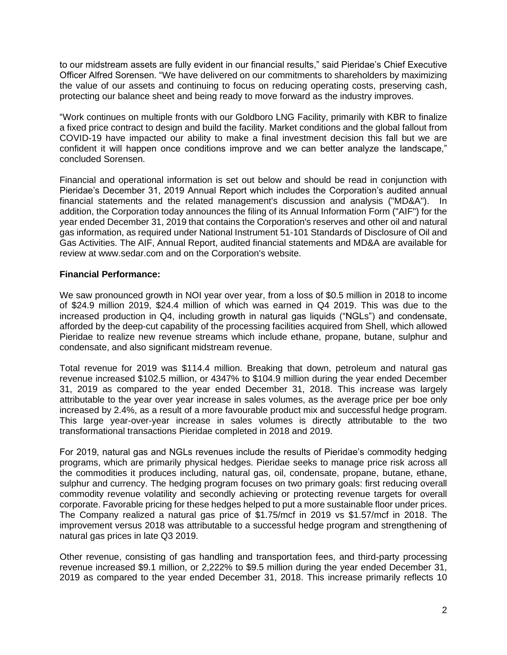to our midstream assets are fully evident in our financial results," said Pieridae's Chief Executive Officer Alfred Sorensen. "We have delivered on our commitments to shareholders by maximizing the value of our assets and continuing to focus on reducing operating costs, preserving cash, protecting our balance sheet and being ready to move forward as the industry improves.

"Work continues on multiple fronts with our Goldboro LNG Facility, primarily with KBR to finalize a fixed price contract to design and build the facility. Market conditions and the global fallout from COVID-19 have impacted our ability to make a final investment decision this fall but we are confident it will happen once conditions improve and we can better analyze the landscape," concluded Sorensen.

Financial and operational information is set out below and should be read in conjunction with Pieridae's December 31, 2019 Annual Report which includes the Corporation's audited annual financial statements and the related management's discussion and analysis ("MD&A"). In addition, the Corporation today announces the filing of its Annual Information Form ("AIF") for the year ended December 31, 2019 that contains the Corporation's reserves and other oil and natural gas information, as required under National Instrument 51-101 Standards of Disclosure of Oil and Gas Activities. The AIF, Annual Report, audited financial statements and MD&A are available for review at www.sedar.com and on the Corporation's website.

# **Financial Performance:**

We saw pronounced growth in NOI year over year, from a loss of \$0.5 million in 2018 to income of \$24.9 million 2019, \$24.4 million of which was earned in Q4 2019. This was due to the increased production in Q4, including growth in natural gas liquids ("NGLs") and condensate, afforded by the deep-cut capability of the processing facilities acquired from Shell, which allowed Pieridae to realize new revenue streams which include ethane, propane, butane, sulphur and condensate, and also significant midstream revenue.

Total revenue for 2019 was \$114.4 million. Breaking that down, petroleum and natural gas revenue increased \$102.5 million, or 4347% to \$104.9 million during the year ended December 31, 2019 as compared to the year ended December 31, 2018. This increase was largely attributable to the year over year increase in sales volumes, as the average price per boe only increased by 2.4%, as a result of a more favourable product mix and successful hedge program. This large year-over-year increase in sales volumes is directly attributable to the two transformational transactions Pieridae completed in 2018 and 2019.

For 2019, natural gas and NGLs revenues include the results of Pieridae's commodity hedging programs, which are primarily physical hedges. Pieridae seeks to manage price risk across all the commodities it produces including, natural gas, oil, condensate, propane, butane, ethane, sulphur and currency. The hedging program focuses on two primary goals: first reducing overall commodity revenue volatility and secondly achieving or protecting revenue targets for overall corporate. Favorable pricing for these hedges helped to put a more sustainable floor under prices. The Company realized a natural gas price of \$1.75/mcf in 2019 vs \$1.57/mcf in 2018. The improvement versus 2018 was attributable to a successful hedge program and strengthening of natural gas prices in late Q3 2019.

Other revenue, consisting of gas handling and transportation fees, and third-party processing revenue increased \$9.1 million, or 2,222% to \$9.5 million during the year ended December 31, 2019 as compared to the year ended December 31, 2018. This increase primarily reflects 10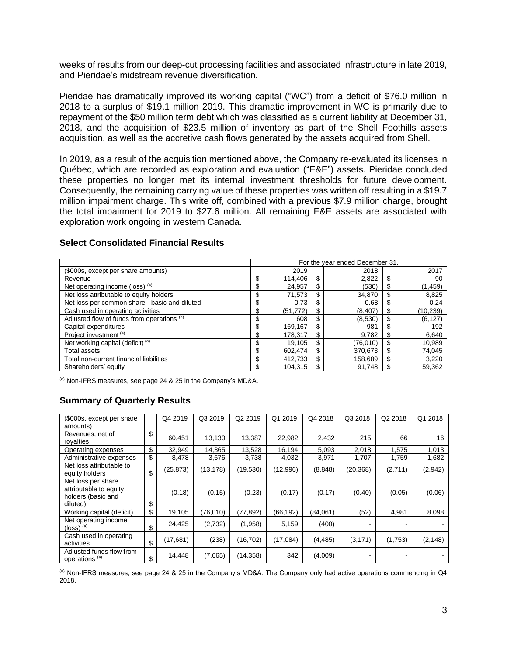weeks of results from our deep-cut processing facilities and associated infrastructure in late 2019, and Pieridae's midstream revenue diversification.

Pieridae has dramatically improved its working capital ("WC") from a deficit of \$76.0 million in 2018 to a surplus of \$19.1 million 2019. This dramatic improvement in WC is primarily due to repayment of the \$50 million term debt which was classified as a current liability at December 31, 2018, and the acquisition of \$23.5 million of inventory as part of the Shell Foothills assets acquisition, as well as the accretive cash flows generated by the assets acquired from Shell.

In 2019, as a result of the acquisition mentioned above, the Company re-evaluated its licenses in Québec, which are recorded as exploration and evaluation ("E&E") assets. Pieridae concluded these properties no longer met its internal investment thresholds for future development. Consequently, the remaining carrying value of these properties was written off resulting in a \$19.7 million impairment charge. This write off, combined with a previous \$7.9 million charge, brought the total impairment for 2019 to \$27.6 million. All remaining E&E assets are associated with exploration work ongoing in western Canada.

#### For the year ended December 31, (\$000s, except per share amounts) 2019 2018 2017 Revenue \$ 114,406 \$ 2,822 \$ 90 Net operating income (loss) <sup>(a)</sup> 8 24,957 \cdots 30) \cdots 30) \cdots 30 (1,459) Net loss attributable to equity holders \$ 71,573 \$ 34,870 \$ 8,825 Net loss per common share - basic and diluted \$ 0.73 \$ 0.68 \$ 0.24 Cash used in operating activities \$ (51,772) \$ (8,407) \$ (10,239) Adjusted flow of funds from operations (a) \$ 608 \$ (8,530) \$ (6,127) Capital expenditures \$ 169,167 \$ 981 \$ 192 Project investment <sup>(a)</sup> 5 178,317 \$ 9,782 \$ 6,640 Net working capital (deficit)<sup>(a)</sup> 19,105  $\frac{1}{3}$  19,105  $\frac{1}{3}$  19,005  $\frac{1}{3}$  10,989 Total assets | \$ | 602,474 | \$ | 370,673 | \$ | 74,045 Total non-current financial liabilities \$ 412,733 \$ 158,689 \$ 3,220 Shareholders' equity **104,315 \$** 104,315 \$ 91,748 \$ 59,362

#### **Select Consolidated Financial Results**

(a) Non-IFRS measures, see page 24 & 25 in the Company's MD&A.

# **Summary of Quarterly Results**

| (\$000s, except per share)<br>amounts)                                         | Q4 2019         | Q3 2019   | Q2 2019   | Q1 2019   | Q4 2018  | Q3 2018                  | Q2 2018 | Q1 2018  |
|--------------------------------------------------------------------------------|-----------------|-----------|-----------|-----------|----------|--------------------------|---------|----------|
| Revenues, net of<br>royalties                                                  | \$<br>60,451    | 13,130    | 13,387    | 22,982    | 2,432    | 215                      | 66      | 16       |
| Operating expenses                                                             | \$<br>32,949    | 14,365    | 13,528    | 16,194    | 5,093    | 2,018                    | 1,575   | 1,013    |
| Administrative expenses                                                        | \$<br>8,478     | 3,676     | 3,738     | 4,032     | 3,971    | 1,707                    | 1,759   | 1,682    |
| Net loss attributable to<br>equity holders                                     | \$<br>(25, 873) | (13, 178) | (19, 530) | (12,996)  | (8, 848) | (20, 368)                | (2,711) | (2,942)  |
| Net loss per share<br>attributable to equity<br>holders (basic and<br>diluted) | \$<br>(0.18)    | (0.15)    | (0.23)    | (0.17)    | (0.17)   | (0.40)                   | (0.05)  | (0.06)   |
| Working capital (deficit)                                                      | \$<br>19,105    | (76, 010) | (77, 892) | (66, 192) | (84,061) | (52)                     | 4,981   | 8,098    |
| Net operating income<br>$(logs)$ <sup>(a)</sup>                                | \$<br>24,425    | (2,732)   | (1,958)   | 5,159     | (400)    | $\overline{\phantom{a}}$ |         |          |
| Cash used in operating<br>activities                                           | \$<br>(17, 681) | (238)     | (16, 702) | (17,084)  | (4, 485) | (3, 171)                 | (1,753) | (2, 148) |
| Adjusted funds flow from<br>operations <sup>(a)</sup>                          | \$<br>14,448    | (7,665)   | (14, 358) | 342       | (4,009)  | -                        |         |          |

(a) Non-IFRS measures, see page 24 & 25 in the Company's MD&A. The Company only had active operations commencing in Q4 2018.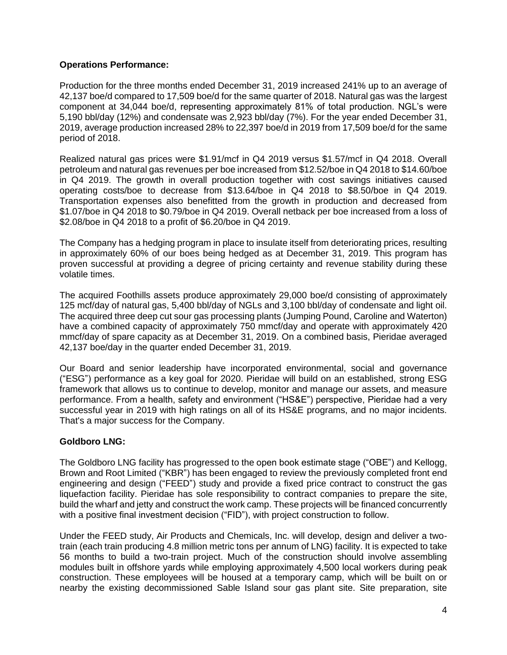# **Operations Performance:**

Production for the three months ended December 31, 2019 increased 241% up to an average of 42,137 boe/d compared to 17,509 boe/d for the same quarter of 2018. Natural gas was the largest component at 34,044 boe/d, representing approximately 81% of total production. NGL's were 5,190 bbl/day (12%) and condensate was 2,923 bbl/day (7%). For the year ended December 31, 2019, average production increased 28% to 22,397 boe/d in 2019 from 17,509 boe/d for the same period of 2018.

Realized natural gas prices were \$1.91/mcf in Q4 2019 versus \$1.57/mcf in Q4 2018. Overall petroleum and natural gas revenues per boe increased from \$12.52/boe in Q4 2018 to \$14.60/boe in Q4 2019. The growth in overall production together with cost savings initiatives caused operating costs/boe to decrease from \$13.64/boe in Q4 2018 to \$8.50/boe in Q4 2019. Transportation expenses also benefitted from the growth in production and decreased from \$1.07/boe in Q4 2018 to \$0.79/boe in Q4 2019. Overall netback per boe increased from a loss of \$2.08/boe in Q4 2018 to a profit of \$6.20/boe in Q4 2019.

The Company has a hedging program in place to insulate itself from deteriorating prices, resulting in approximately 60% of our boes being hedged as at December 31, 2019. This program has proven successful at providing a degree of pricing certainty and revenue stability during these volatile times.

The acquired Foothills assets produce approximately 29,000 boe/d consisting of approximately 125 mcf/day of natural gas, 5,400 bbl/day of NGLs and 3,100 bbl/day of condensate and light oil. The acquired three deep cut sour gas processing plants (Jumping Pound, Caroline and Waterton) have a combined capacity of approximately 750 mmcf/day and operate with approximately 420 mmcf/day of spare capacity as at December 31, 2019. On a combined basis, Pieridae averaged 42,137 boe/day in the quarter ended December 31, 2019.

Our Board and senior leadership have incorporated environmental, social and governance ("ESG") performance as a key goal for 2020. Pieridae will build on an established, strong ESG framework that allows us to continue to develop, monitor and manage our assets, and measure performance. From a health, safety and environment ("HS&E") perspective, Pieridae had a very successful year in 2019 with high ratings on all of its HS&E programs, and no major incidents. That's a major success for the Company.

# **Goldboro LNG:**

The Goldboro LNG facility has progressed to the open book estimate stage ("OBE") and Kellogg, Brown and Root Limited ("KBR") has been engaged to review the previously completed front end engineering and design ("FEED") study and provide a fixed price contract to construct the gas liquefaction facility. Pieridae has sole responsibility to contract companies to prepare the site, build the wharf and jetty and construct the work camp. These projects will be financed concurrently with a positive final investment decision ("FID"), with project construction to follow.

Under the FEED study, Air Products and Chemicals, Inc. will develop, design and deliver a twotrain (each train producing 4.8 million metric tons per annum of LNG) facility. It is expected to take 56 months to build a two-train project. Much of the construction should involve assembling modules built in offshore yards while employing approximately 4,500 local workers during peak construction. These employees will be housed at a temporary camp, which will be built on or nearby the existing decommissioned Sable Island sour gas plant site. Site preparation, site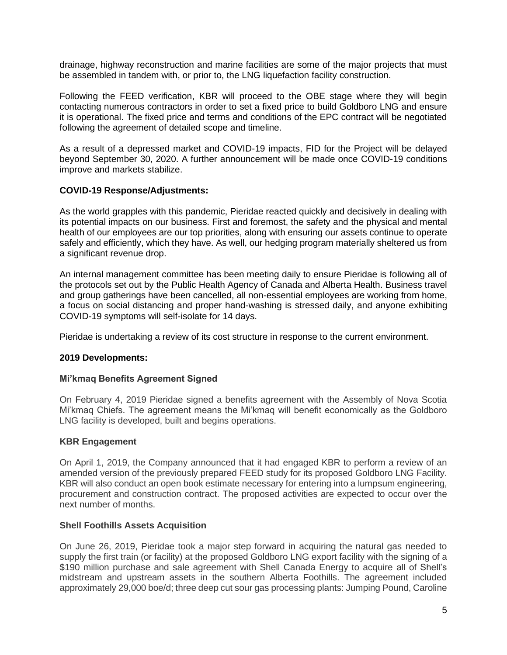drainage, highway reconstruction and marine facilities are some of the major projects that must be assembled in tandem with, or prior to, the LNG liquefaction facility construction.

Following the FEED verification, KBR will proceed to the OBE stage where they will begin contacting numerous contractors in order to set a fixed price to build Goldboro LNG and ensure it is operational. The fixed price and terms and conditions of the EPC contract will be negotiated following the agreement of detailed scope and timeline.

As a result of a depressed market and COVID-19 impacts, FID for the Project will be delayed beyond September 30, 2020. A further announcement will be made once COVID-19 conditions improve and markets stabilize.

# **COVID-19 Response/Adjustments:**

As the world grapples with this pandemic, Pieridae reacted quickly and decisively in dealing with its potential impacts on our business. First and foremost, the safety and the physical and mental health of our employees are our top priorities, along with ensuring our assets continue to operate safely and efficiently, which they have. As well, our hedging program materially sheltered us from a significant revenue drop.

An internal management committee has been meeting daily to ensure Pieridae is following all of the protocols set out by the Public Health Agency of Canada and Alberta Health. Business travel and group gatherings have been cancelled, all non-essential employees are working from home, a focus on social distancing and proper hand-washing is stressed daily, and anyone exhibiting COVID-19 symptoms will self-isolate for 14 days.

Pieridae is undertaking a review of its cost structure in response to the current environment.

# **2019 Developments:**

# **Mi'kmaq Benefits Agreement Signed**

On February 4, 2019 Pieridae signed a benefits agreement with the Assembly of Nova Scotia Mi'kmaq Chiefs. The agreement means the Mi'kmaq will benefit economically as the Goldboro LNG facility is developed, built and begins operations.

# **KBR Engagement**

On April 1, 2019, the Company announced that it had engaged KBR to perform a review of an amended version of the previously prepared FEED study for its proposed Goldboro LNG Facility. KBR will also conduct an open book estimate necessary for entering into a lumpsum engineering, procurement and construction contract. The proposed activities are expected to occur over the next number of months.

# **Shell Foothills Assets Acquisition**

On June 26, 2019, Pieridae took a major step forward in acquiring the natural gas needed to supply the first train (or facility) at the proposed Goldboro LNG export facility with the signing of a \$190 million purchase and sale agreement with Shell Canada Energy to acquire all of Shell's midstream and upstream assets in the southern Alberta Foothills. The agreement included approximately 29,000 boe/d; three deep cut sour gas processing plants: Jumping Pound, Caroline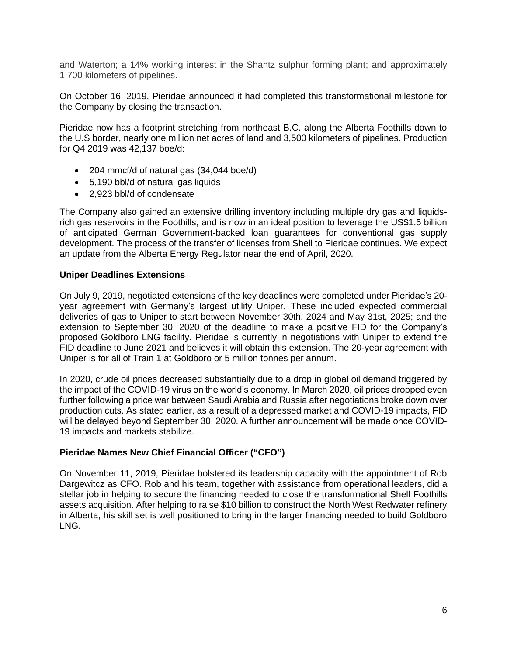and Waterton; a 14% working interest in the Shantz sulphur forming plant; and approximately 1,700 kilometers of pipelines.

On October 16, 2019, Pieridae announced it had completed this transformational milestone for the Company by closing the transaction.

Pieridae now has a footprint stretching from northeast B.C. along the Alberta Foothills down to the U.S border, nearly one million net acres of land and 3,500 kilometers of pipelines. Production for Q4 2019 was 42,137 boe/d:

- 204 mmcf/d of natural gas (34,044 boe/d)
- 5,190 bbl/d of natural gas liquids
- 2.923 bbl/d of condensate

The Company also gained an extensive drilling inventory including multiple dry gas and liquidsrich gas reservoirs in the Foothills, and is now in an ideal position to leverage the US\$1.5 billion of anticipated German Government-backed loan guarantees for conventional gas supply development. The process of the transfer of licenses from Shell to Pieridae continues. We expect an update from the Alberta Energy Regulator near the end of April, 2020.

# **Uniper Deadlines Extensions**

On July 9, 2019, negotiated extensions of the key deadlines were completed under Pieridae's 20 year agreement with Germany's largest utility Uniper. These included expected commercial deliveries of gas to Uniper to start between November 30th, 2024 and May 31st, 2025; and the extension to September 30, 2020 of the deadline to make a positive FID for the Company's proposed Goldboro LNG facility. Pieridae is currently in negotiations with Uniper to extend the FID deadline to June 2021 and believes it will obtain this extension. The 20-year agreement with Uniper is for all of Train 1 at Goldboro or 5 million tonnes per annum.

In 2020, crude oil prices decreased substantially due to a drop in global oil demand triggered by the impact of the COVID-19 virus on the world's economy. In March 2020, oil prices dropped even further following a price war between Saudi Arabia and Russia after negotiations broke down over production cuts. As stated earlier, as a result of a depressed market and COVID-19 impacts, FID will be delayed beyond September 30, 2020. A further announcement will be made once COVID-19 impacts and markets stabilize.

# **Pieridae Names New Chief Financial Officer ("CFO")**

On November 11, 2019, Pieridae bolstered its leadership capacity with the appointment of Rob Dargewitcz as CFO. Rob and his team, together with assistance from operational leaders, did a stellar job in helping to secure the financing needed to close the transformational Shell Foothills assets acquisition. After helping to raise \$10 billion to construct the North West Redwater refinery in Alberta, his skill set is well positioned to bring in the larger financing needed to build Goldboro LNG.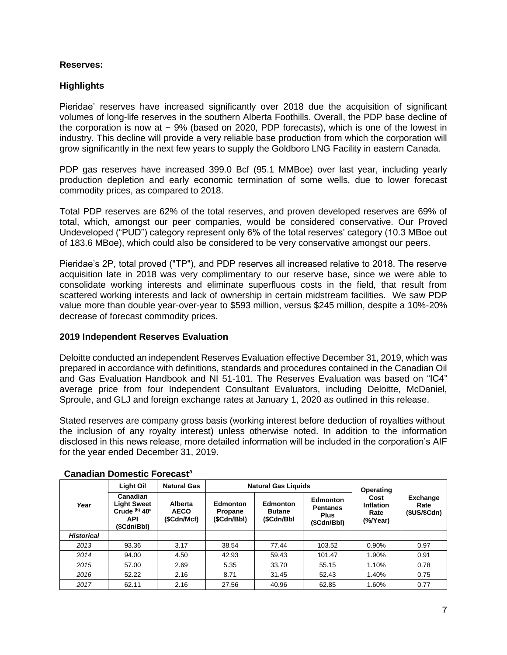#### **Reserves:**

# **Highlights**

Pieridae' reserves have increased significantly over 2018 due the acquisition of significant volumes of long-life reserves in the southern Alberta Foothills. Overall, the PDP base decline of the corporation is now at  $\sim$  9% (based on 2020, PDP forecasts), which is one of the lowest in industry. This decline will provide a very reliable base production from which the corporation will grow significantly in the next few years to supply the Goldboro LNG Facility in eastern Canada.

PDP gas reserves have increased 399.0 Bcf (95.1 MMBoe) over last year, including yearly production depletion and early economic termination of some wells, due to lower forecast commodity prices, as compared to 2018.

Total PDP reserves are 62% of the total reserves, and proven developed reserves are 69% of total, which, amongst our peer companies, would be considered conservative. Our Proved Undeveloped ("PUD") category represent only 6% of the total reserves' category (10.3 MBoe out of 183.6 MBoe), which could also be considered to be very conservative amongst our peers.

Pieridae's 2P, total proved ("TP"), and PDP reserves all increased relative to 2018. The reserve acquisition late in 2018 was very complimentary to our reserve base, since we were able to consolidate working interests and eliminate superfluous costs in the field, that result from scattered working interests and lack of ownership in certain midstream facilities. We saw PDP value more than double year-over-year to \$593 million, versus \$245 million, despite a 10%-20% decrease of forecast commodity prices.

# **2019 Independent Reserves Evaluation**

Deloitte conducted an independent Reserves Evaluation effective December 31, 2019, which was prepared in accordance with definitions, standards and procedures contained in the Canadian Oil and Gas Evaluation Handbook and NI 51-101. The Reserves Evaluation was based on "IC4" average price from four Independent Consultant Evaluators, including Deloitte, McDaniel, Sproule, and GLJ and foreign exchange rates at January 1, 2020 as outlined in this release.

Stated reserves are company gross basis (working interest before deduction of royalties without the inclusion of any royalty interest) unless otherwise noted. In addition to the information disclosed in this news release, more detailed information will be included in the corporation's AIF for the year ended December 31, 2019.

|                   | <b>Light Oil</b>                                                             | <b>Natural Gas</b>                    | <b>Natural Gas Liquids</b>                | Operating                                |                                                                  |                                           |                                        |  |
|-------------------|------------------------------------------------------------------------------|---------------------------------------|-------------------------------------------|------------------------------------------|------------------------------------------------------------------|-------------------------------------------|----------------------------------------|--|
| Year              | Canadian<br><b>Light Sweet</b><br>Crude (b) 40°<br><b>API</b><br>(\$Cdn/Bbl) | Alberta<br><b>AECO</b><br>(\$Cdn/Mcf) | <b>Edmonton</b><br>Propane<br>(\$Cdn/Bbl) | Edmonton<br><b>Butane</b><br>(\$Cdn/Bbl) | <b>Edmonton</b><br><b>Pentanes</b><br><b>Plus</b><br>(\$Cdn/Bbl) | Cost<br>Inflation<br>Rate<br>$(\%$ /Year) | <b>Exchange</b><br>Rate<br>\$US/\$Cdn) |  |
| <b>Historical</b> |                                                                              |                                       |                                           |                                          |                                                                  |                                           |                                        |  |
| 2013              | 93.36                                                                        | 3.17                                  | 38.54                                     | 77.44                                    | 103.52                                                           | 0.90%                                     | 0.97                                   |  |
| 2014              | 94.00                                                                        | 4.50                                  | 42.93                                     | 59.43                                    | 101.47                                                           | 1.90%                                     | 0.91                                   |  |
| 2015              | 57.00                                                                        | 2.69                                  | 5.35                                      | 33.70                                    | 55.15                                                            | 1.10%                                     | 0.78                                   |  |
| 2016              | 52.22                                                                        | 2.16                                  | 8.71                                      | 31.45                                    | 52.43                                                            | 1.40%                                     | 0.75                                   |  |
| 2017              | 62.11                                                                        | 2.16                                  | 27.56                                     | 40.96                                    | 62.85                                                            | 1.60%                                     | 0.77                                   |  |

# **Canadian Domestic Forecast**<sup>a</sup>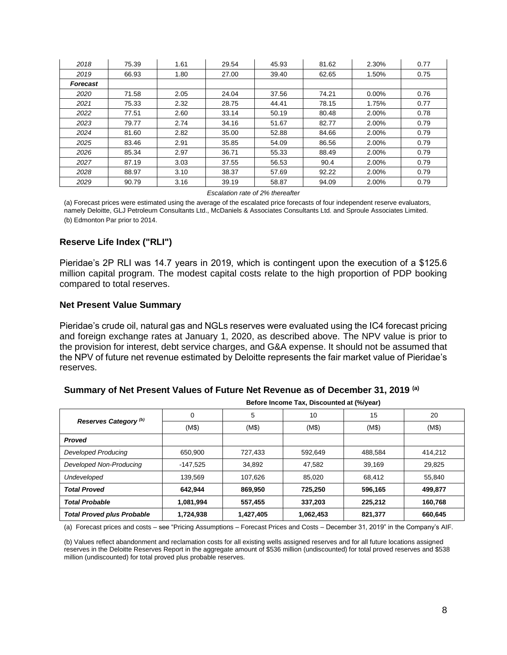| 2018            | 75.39 | 1.61 | 29.54 | 45.93 | 81.62 | 2.30%    | 0.77 |
|-----------------|-------|------|-------|-------|-------|----------|------|
| 2019            | 66.93 | 1.80 | 27.00 | 39.40 | 62.65 | 1.50%    | 0.75 |
| <b>Forecast</b> |       |      |       |       |       |          |      |
| 2020            | 71.58 | 2.05 | 24.04 | 37.56 | 74.21 | $0.00\%$ | 0.76 |
| 2021            | 75.33 | 2.32 | 28.75 | 44.41 | 78.15 | 1.75%    | 0.77 |
| 2022            | 77.51 | 2.60 | 33.14 | 50.19 | 80.48 | 2.00%    | 0.78 |
| 2023            | 79.77 | 2.74 | 34.16 | 51.67 | 82.77 | 2.00%    | 0.79 |
| 2024            | 81.60 | 2.82 | 35.00 | 52.88 | 84.66 | 2.00%    | 0.79 |
| 2025            | 83.46 | 2.91 | 35.85 | 54.09 | 86.56 | 2.00%    | 0.79 |
| 2026            | 85.34 | 2.97 | 36.71 | 55.33 | 88.49 | 2.00%    | 0.79 |
| 2027            | 87.19 | 3.03 | 37.55 | 56.53 | 90.4  | 2.00%    | 0.79 |
| 2028            | 88.97 | 3.10 | 38.37 | 57.69 | 92.22 | 2.00%    | 0.79 |
| 2029            | 90.79 | 3.16 | 39.19 | 58.87 | 94.09 | 2.00%    | 0.79 |

*Escalation rate of 2% thereafter*

(a) Forecast prices were estimated using the average of the escalated price forecasts of four independent reserve evaluators, namely Deloitte, GLJ Petroleum Consultants Ltd., McDaniels & Associates Consultants Ltd. and Sproule Associates Limited. (b) Edmonton Par prior to 2014.

#### **Reserve Life Index ("RLI")**

Pieridae's 2P RLI was 14.7 years in 2019, which is contingent upon the execution of a \$125.6 million capital program. The modest capital costs relate to the high proportion of PDP booking compared to total reserves.

#### **Net Present Value Summary**

Pieridae's crude oil, natural gas and NGLs reserves were evaluated using the IC4 forecast pricing and foreign exchange rates at January 1, 2020, as described above. The NPV value is prior to the provision for interest, debt service charges, and G&A expense. It should not be assumed that the NPV of future net revenue estimated by Deloitte represents the fair market value of Pieridae's reserves.

#### **Summary of Net Present Values of Future Net Revenue as of December 31, 2019 (a)**

|                                   | <u>Delore income Tax, Discounted at I will early</u> |           |           |         |         |  |  |  |  |
|-----------------------------------|------------------------------------------------------|-----------|-----------|---------|---------|--|--|--|--|
|                                   | 0                                                    | 5         | 10        | 15      | 20      |  |  |  |  |
| Reserves Category <sup>(b)</sup>  | (M\$)                                                | (M\$)     | (M\$)     | (M\$)   | (M\$)   |  |  |  |  |
| <b>Proved</b>                     |                                                      |           |           |         |         |  |  |  |  |
| Developed Producing               | 650.900                                              | 727,433   | 592.649   | 488.584 | 414.212 |  |  |  |  |
| Developed Non-Producing           | $-147.525$                                           | 34,892    | 47,582    | 39,169  | 29,825  |  |  |  |  |
| Undeveloped                       | 139,569                                              | 107,626   | 85,020    | 68,412  | 55,840  |  |  |  |  |
| <b>Total Proved</b>               | 642.944                                              | 869,950   | 725,250   | 596,165 | 499.877 |  |  |  |  |
| <b>Total Probable</b>             | 1,081,994                                            | 557,455   | 337,203   | 225,212 | 160,768 |  |  |  |  |
| <b>Total Proved plus Probable</b> | 1,724,938                                            | 1,427,405 | 1,062,453 | 821,377 | 660,645 |  |  |  |  |

**Before Income Tax, Discounted at (%/year)**

(a) Forecast prices and costs – see "Pricing Assumptions – Forecast Prices and Costs – December 31, 2019" in the Company's AIF.

(b) Values reflect abandonment and reclamation costs for all existing wells assigned reserves and for all future locations assigned reserves in the Deloitte Reserves Report in the aggregate amount of \$536 million (undiscounted) for total proved reserves and \$538 million (undiscounted) for total proved plus probable reserves.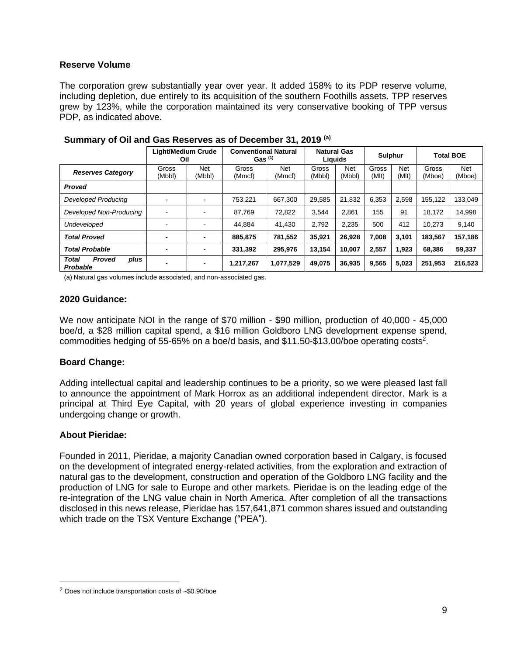#### **Reserve Volume**

The corporation grew substantially year over year. It added 158% to its PDP reserve volume, including depletion, due entirely to its acquisition of the southern Foothills assets. TPP reserves grew by 123%, while the corporation maintained its very conservative booking of TPP versus PDP, as indicated above.

|                                                   | <b>Light/Medium Crude</b><br>Oil | <b>Conventional Natural</b><br>Gas <sup>(1)</sup> |                 |                      | <b>Natural Gas</b><br>Liguids |               | <b>Sulphur</b> |                     | <b>Total BOE</b> |                      |
|---------------------------------------------------|----------------------------------|---------------------------------------------------|-----------------|----------------------|-------------------------------|---------------|----------------|---------------------|------------------|----------------------|
| <b>Reserves Category</b>                          | Gross<br>(Mbbl)                  | Net<br>(Mbbl)                                     | Gross<br>(Mmcf) | <b>Net</b><br>(Mmcf) | Gross<br>(Mbbl)               | Net<br>(Mbbl) | Gross<br>(MIt) | <b>Net</b><br>(Mlt) | Gross<br>(Mboe)  | <b>Net</b><br>(Mboe) |
| <b>Proved</b>                                     |                                  |                                                   |                 |                      |                               |               |                |                     |                  |                      |
| <b>Developed Producing</b>                        | -                                | ۰                                                 | 753.221         | 667.300              | 29.585                        | 21.832        | 6.353          | 2.598               | 155.122          | 133.049              |
| Developed Non-Producing                           |                                  | ۰                                                 | 87.769          | 72,822               | 3.544                         | 2.861         | 155            | 91                  | 18.172           | 14,998               |
| Undeveloped                                       | -                                | $\blacksquare$                                    | 44.884          | 41.430               | 2.792                         | 2,235         | 500            | 412                 | 10.273           | 9,140                |
| <b>Total Proved</b>                               | -                                | $\blacksquare$                                    | 885,875         | 781,552              | 35.921                        | 26.928        | 7.008          | 3,101               | 183,567          | 157,186              |
| <b>Total Probable</b>                             |                                  | $\blacksquare$                                    | 331,392         | 295.976              | 13.154                        | 10.007        | 2.557          | 1.923               | 68.386           | 59,337               |
| <b>Total</b><br><b>Proved</b><br>plus<br>Probable | -                                | $\blacksquare$                                    | 1,217,267       | 1,077,529            | 49.075                        | 36,935        | 9.565          | 5,023               | 251,953          | 216,523              |

**Summary of Oil and Gas Reserves as of December 31, 2019 (a)**

(a) Natural gas volumes include associated, and non-associated gas.

#### **2020 Guidance:**

We now anticipate NOI in the range of \$70 million - \$90 million, production of 40,000 - 45,000 boe/d, a \$28 million capital spend, a \$16 million Goldboro LNG development expense spend, commodities hedging of 55-65% on a boe/d basis, and \$11.50-\$13.00/boe operating costs<sup>2</sup>.

# **Board Change:**

Adding intellectual capital and leadership continues to be a priority, so we were pleased last fall to announce the appointment of Mark Horrox as an additional independent director. Mark is a principal at Third Eye Capital, with 20 years of global experience investing in companies undergoing change or growth.

# **About Pieridae:**

Founded in 2011, Pieridae, a majority Canadian owned corporation based in Calgary, is focused on the development of integrated energy-related activities, from the exploration and extraction of natural gas to the development, construction and operation of the Goldboro LNG facility and the production of LNG for sale to Europe and other markets. Pieridae is on the leading edge of the re-integration of the LNG value chain in North America. After completion of all the transactions disclosed in this news release, Pieridae has 157,641,871 common shares issued and outstanding which trade on the TSX Venture Exchange ("PEA").

<sup>2</sup> Does not include transportation costs of ~\$0.90/boe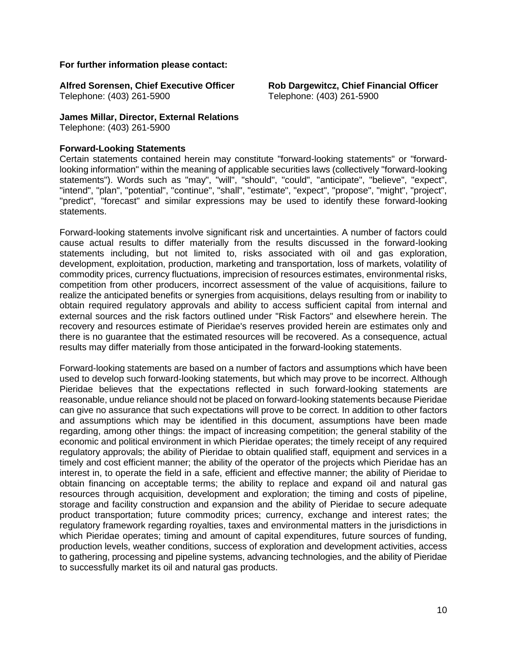#### **For further information please contact:**

**Alfred Sorensen, Chief Executive Officer Rob Dargewitcz, Chief Financial Officer** Telephone: (403) 261-5900 Telephone: (403) 261-5900

**James Millar, Director, External Relations**

Telephone: (403) 261-5900

#### **Forward-Looking Statements**

Certain statements contained herein may constitute "forward-looking statements" or "forwardlooking information" within the meaning of applicable securities laws (collectively "forward-looking statements"). Words such as "may", "will", "should", "could", "anticipate", "believe", "expect", "intend", "plan", "potential", "continue", "shall", "estimate", "expect", "propose", "might", "project", "predict", "forecast" and similar expressions may be used to identify these forward-looking statements.

Forward-looking statements involve significant risk and uncertainties. A number of factors could cause actual results to differ materially from the results discussed in the forward-looking statements including, but not limited to, risks associated with oil and gas exploration, development, exploitation, production, marketing and transportation, loss of markets, volatility of commodity prices, currency fluctuations, imprecision of resources estimates, environmental risks, competition from other producers, incorrect assessment of the value of acquisitions, failure to realize the anticipated benefits or synergies from acquisitions, delays resulting from or inability to obtain required regulatory approvals and ability to access sufficient capital from internal and external sources and the risk factors outlined under "Risk Factors" and elsewhere herein. The recovery and resources estimate of Pieridae's reserves provided herein are estimates only and there is no guarantee that the estimated resources will be recovered. As a consequence, actual results may differ materially from those anticipated in the forward-looking statements.

Forward-looking statements are based on a number of factors and assumptions which have been used to develop such forward-looking statements, but which may prove to be incorrect. Although Pieridae believes that the expectations reflected in such forward-looking statements are reasonable, undue reliance should not be placed on forward-looking statements because Pieridae can give no assurance that such expectations will prove to be correct. In addition to other factors and assumptions which may be identified in this document, assumptions have been made regarding, among other things: the impact of increasing competition; the general stability of the economic and political environment in which Pieridae operates; the timely receipt of any required regulatory approvals; the ability of Pieridae to obtain qualified staff, equipment and services in a timely and cost efficient manner; the ability of the operator of the projects which Pieridae has an interest in, to operate the field in a safe, efficient and effective manner; the ability of Pieridae to obtain financing on acceptable terms; the ability to replace and expand oil and natural gas resources through acquisition, development and exploration; the timing and costs of pipeline, storage and facility construction and expansion and the ability of Pieridae to secure adequate product transportation; future commodity prices; currency, exchange and interest rates; the regulatory framework regarding royalties, taxes and environmental matters in the jurisdictions in which Pieridae operates; timing and amount of capital expenditures, future sources of funding, production levels, weather conditions, success of exploration and development activities, access to gathering, processing and pipeline systems, advancing technologies, and the ability of Pieridae to successfully market its oil and natural gas products.